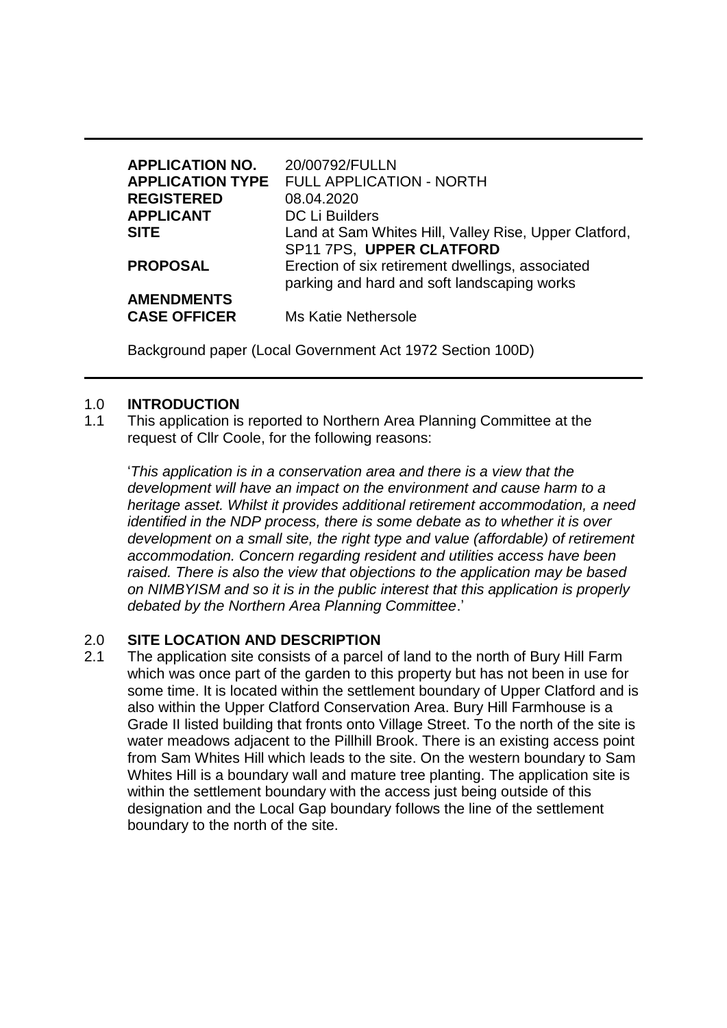| <b>APPLICATION NO.</b><br><b>APPLICATION TYPE</b> | 20/00792/FULLN<br><b>FULL APPLICATION - NORTH</b>                                               |
|---------------------------------------------------|-------------------------------------------------------------------------------------------------|
| <b>REGISTERED</b>                                 | 08.04.2020                                                                                      |
| <b>APPLICANT</b>                                  | <b>DC Li Builders</b>                                                                           |
| <b>SITE</b>                                       | Land at Sam Whites Hill, Valley Rise, Upper Clatford,<br>SP11 7PS, UPPER CLATFORD               |
| <b>PROPOSAL</b>                                   | Erection of six retirement dwellings, associated<br>parking and hard and soft landscaping works |
| <b>AMENDMENTS</b><br><b>CASE OFFICER</b>          | Ms Katie Nethersole                                                                             |

Background paper (Local Government Act 1972 Section 100D)

### 1.0 **INTRODUCTION**

1.1 This application is reported to Northern Area Planning Committee at the request of Cllr Coole, for the following reasons:

'*This application is in a conservation area and there is a view that the development will have an impact on the environment and cause harm to a heritage asset. Whilst it provides additional retirement accommodation, a need identified in the NDP process, there is some debate as to whether it is over development on a small site, the right type and value (affordable) of retirement accommodation. Concern regarding resident and utilities access have been raised. There is also the view that objections to the application may be based on NIMBYISM and so it is in the public interest that this application is properly debated by the Northern Area Planning Committee*.'

### 2.0 **SITE LOCATION AND DESCRIPTION**

2.1 The application site consists of a parcel of land to the north of Bury Hill Farm which was once part of the garden to this property but has not been in use for some time. It is located within the settlement boundary of Upper Clatford and is also within the Upper Clatford Conservation Area. Bury Hill Farmhouse is a Grade II listed building that fronts onto Village Street. To the north of the site is water meadows adjacent to the Pillhill Brook. There is an existing access point from Sam Whites Hill which leads to the site. On the western boundary to Sam Whites Hill is a boundary wall and mature tree planting. The application site is within the settlement boundary with the access just being outside of this designation and the Local Gap boundary follows the line of the settlement boundary to the north of the site.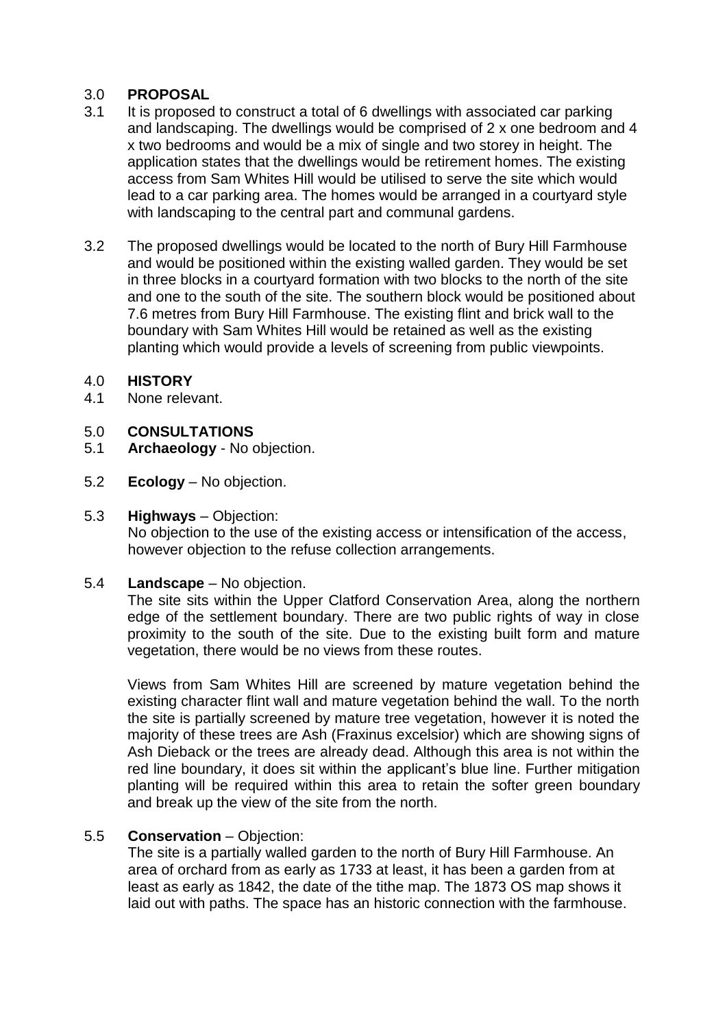## 3.0 **PROPOSAL**

- 3.1 It is proposed to construct a total of 6 dwellings with associated car parking and landscaping. The dwellings would be comprised of 2 x one bedroom and 4 x two bedrooms and would be a mix of single and two storey in height. The application states that the dwellings would be retirement homes. The existing access from Sam Whites Hill would be utilised to serve the site which would lead to a car parking area. The homes would be arranged in a courtyard style with landscaping to the central part and communal gardens.
- 3.2 The proposed dwellings would be located to the north of Bury Hill Farmhouse and would be positioned within the existing walled garden. They would be set in three blocks in a courtyard formation with two blocks to the north of the site and one to the south of the site. The southern block would be positioned about 7.6 metres from Bury Hill Farmhouse. The existing flint and brick wall to the boundary with Sam Whites Hill would be retained as well as the existing planting which would provide a levels of screening from public viewpoints.

### 4.0 **HISTORY**

4.1 None relevant.

## 5.0 **CONSULTATIONS**

- 5.1 **Archaeology**  No objection.
- 5.2 **Ecology** No objection.

### 5.3 **Highways** – Objection:

No objection to the use of the existing access or intensification of the access, however objection to the refuse collection arrangements.

### 5.4 **Landscape** – No objection.

The site sits within the Upper Clatford Conservation Area, along the northern edge of the settlement boundary. There are two public rights of way in close proximity to the south of the site. Due to the existing built form and mature vegetation, there would be no views from these routes.

Views from Sam Whites Hill are screened by mature vegetation behind the existing character flint wall and mature vegetation behind the wall. To the north the site is partially screened by mature tree vegetation, however it is noted the majority of these trees are Ash (Fraxinus excelsior) which are showing signs of Ash Dieback or the trees are already dead. Although this area is not within the red line boundary, it does sit within the applicant's blue line. Further mitigation planting will be required within this area to retain the softer green boundary and break up the view of the site from the north.

### 5.5 **Conservation** – Objection:

The site is a partially walled garden to the north of Bury Hill Farmhouse. An area of orchard from as early as 1733 at least, it has been a garden from at least as early as 1842, the date of the tithe map. The 1873 OS map shows it laid out with paths. The space has an historic connection with the farmhouse.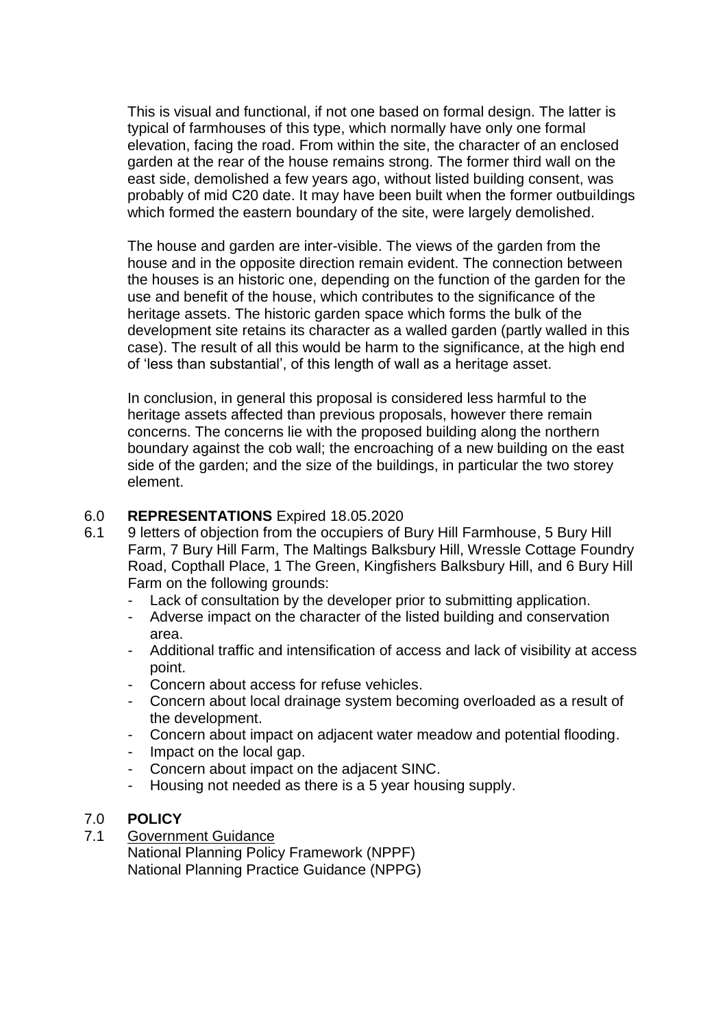This is visual and functional, if not one based on formal design. The latter is typical of farmhouses of this type, which normally have only one formal elevation, facing the road. From within the site, the character of an enclosed garden at the rear of the house remains strong. The former third wall on the east side, demolished a few years ago, without listed building consent, was probably of mid C20 date. It may have been built when the former outbuildings which formed the eastern boundary of the site, were largely demolished.

The house and garden are inter-visible. The views of the garden from the house and in the opposite direction remain evident. The connection between the houses is an historic one, depending on the function of the garden for the use and benefit of the house, which contributes to the significance of the heritage assets. The historic garden space which forms the bulk of the development site retains its character as a walled garden (partly walled in this case). The result of all this would be harm to the significance, at the high end of 'less than substantial', of this length of wall as a heritage asset.

In conclusion, in general this proposal is considered less harmful to the heritage assets affected than previous proposals, however there remain concerns. The concerns lie with the proposed building along the northern boundary against the cob wall; the encroaching of a new building on the east side of the garden; and the size of the buildings, in particular the two storey element.

### 6.0 **REPRESENTATIONS** Expired 18.05.2020

- 6.1 9 letters of objection from the occupiers of Bury Hill Farmhouse, 5 Bury Hill Farm, 7 Bury Hill Farm, The Maltings Balksbury Hill, Wressle Cottage Foundry Road, Copthall Place, 1 The Green, Kingfishers Balksbury Hill, and 6 Bury Hill Farm on the following grounds:
	- Lack of consultation by the developer prior to submitting application.
	- Adverse impact on the character of the listed building and conservation area.
	- Additional traffic and intensification of access and lack of visibility at access point.
	- Concern about access for refuse vehicles.
	- Concern about local drainage system becoming overloaded as a result of the development.
	- Concern about impact on adjacent water meadow and potential flooding.
	- Impact on the local gap.
	- Concern about impact on the adjacent SINC.
	- Housing not needed as there is a 5 year housing supply.

### 7.0 **POLICY**

7.1 Government Guidance

National Planning Policy Framework (NPPF) National Planning Practice Guidance (NPPG)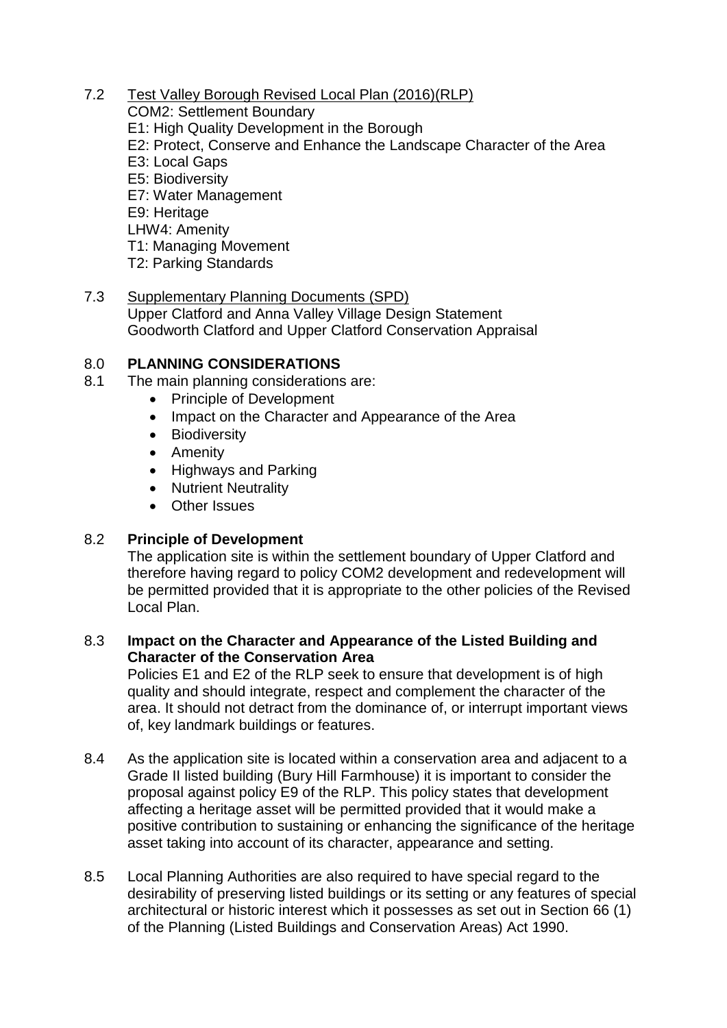## 7.2 Test Valley Borough Revised Local Plan (2016)(RLP)

- COM2: Settlement Boundary E1: High Quality Development in the Borough E2: Protect, Conserve and Enhance the Landscape Character of the Area E3: Local Gaps E5: Biodiversity E7: Water Management E9: Heritage LHW4: Amenity T1: Managing Movement T2: Parking Standards
- 7.3 Supplementary Planning Documents (SPD) Upper Clatford and Anna Valley Village Design Statement Goodworth Clatford and Upper Clatford Conservation Appraisal

# 8.0 **PLANNING CONSIDERATIONS**

- 8.1 The main planning considerations are:
	- Principle of Development
	- Impact on the Character and Appearance of the Area
	- Biodiversity
	- Amenity
	- Highways and Parking
	- Nutrient Neutrality
	- Other Issues

# 8.2 **Principle of Development**

The application site is within the settlement boundary of Upper Clatford and therefore having regard to policy COM2 development and redevelopment will be permitted provided that it is appropriate to the other policies of the Revised Local Plan.

# 8.3 **Impact on the Character and Appearance of the Listed Building and Character of the Conservation Area**

Policies E1 and E2 of the RLP seek to ensure that development is of high quality and should integrate, respect and complement the character of the area. It should not detract from the dominance of, or interrupt important views of, key landmark buildings or features.

- 8.4 As the application site is located within a conservation area and adjacent to a Grade II listed building (Bury Hill Farmhouse) it is important to consider the proposal against policy E9 of the RLP. This policy states that development affecting a heritage asset will be permitted provided that it would make a positive contribution to sustaining or enhancing the significance of the heritage asset taking into account of its character, appearance and setting.
- 8.5 Local Planning Authorities are also required to have special regard to the desirability of preserving listed buildings or its setting or any features of special architectural or historic interest which it possesses as set out in Section 66 (1) of the Planning (Listed Buildings and Conservation Areas) Act 1990.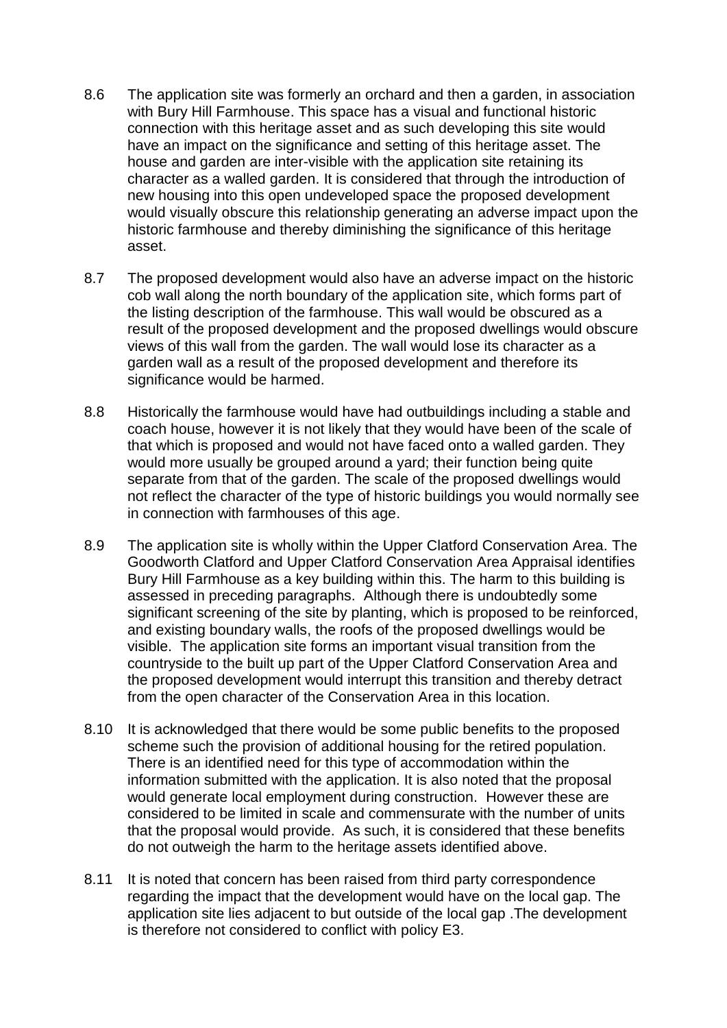- 8.6 The application site was formerly an orchard and then a garden, in association with Bury Hill Farmhouse. This space has a visual and functional historic connection with this heritage asset and as such developing this site would have an impact on the significance and setting of this heritage asset. The house and garden are inter-visible with the application site retaining its character as a walled garden. It is considered that through the introduction of new housing into this open undeveloped space the proposed development would visually obscure this relationship generating an adverse impact upon the historic farmhouse and thereby diminishing the significance of this heritage asset.
- 8.7 The proposed development would also have an adverse impact on the historic cob wall along the north boundary of the application site, which forms part of the listing description of the farmhouse. This wall would be obscured as a result of the proposed development and the proposed dwellings would obscure views of this wall from the garden. The wall would lose its character as a garden wall as a result of the proposed development and therefore its significance would be harmed.
- 8.8 Historically the farmhouse would have had outbuildings including a stable and coach house, however it is not likely that they would have been of the scale of that which is proposed and would not have faced onto a walled garden. They would more usually be grouped around a yard; their function being quite separate from that of the garden. The scale of the proposed dwellings would not reflect the character of the type of historic buildings you would normally see in connection with farmhouses of this age.
- 8.9 The application site is wholly within the Upper Clatford Conservation Area. The Goodworth Clatford and Upper Clatford Conservation Area Appraisal identifies Bury Hill Farmhouse as a key building within this. The harm to this building is assessed in preceding paragraphs. Although there is undoubtedly some significant screening of the site by planting, which is proposed to be reinforced, and existing boundary walls, the roofs of the proposed dwellings would be visible. The application site forms an important visual transition from the countryside to the built up part of the Upper Clatford Conservation Area and the proposed development would interrupt this transition and thereby detract from the open character of the Conservation Area in this location.
- 8.10 It is acknowledged that there would be some public benefits to the proposed scheme such the provision of additional housing for the retired population. There is an identified need for this type of accommodation within the information submitted with the application. It is also noted that the proposal would generate local employment during construction. However these are considered to be limited in scale and commensurate with the number of units that the proposal would provide. As such, it is considered that these benefits do not outweigh the harm to the heritage assets identified above.
- 8.11 It is noted that concern has been raised from third party correspondence regarding the impact that the development would have on the local gap. The application site lies adjacent to but outside of the local gap .The development is therefore not considered to conflict with policy E3.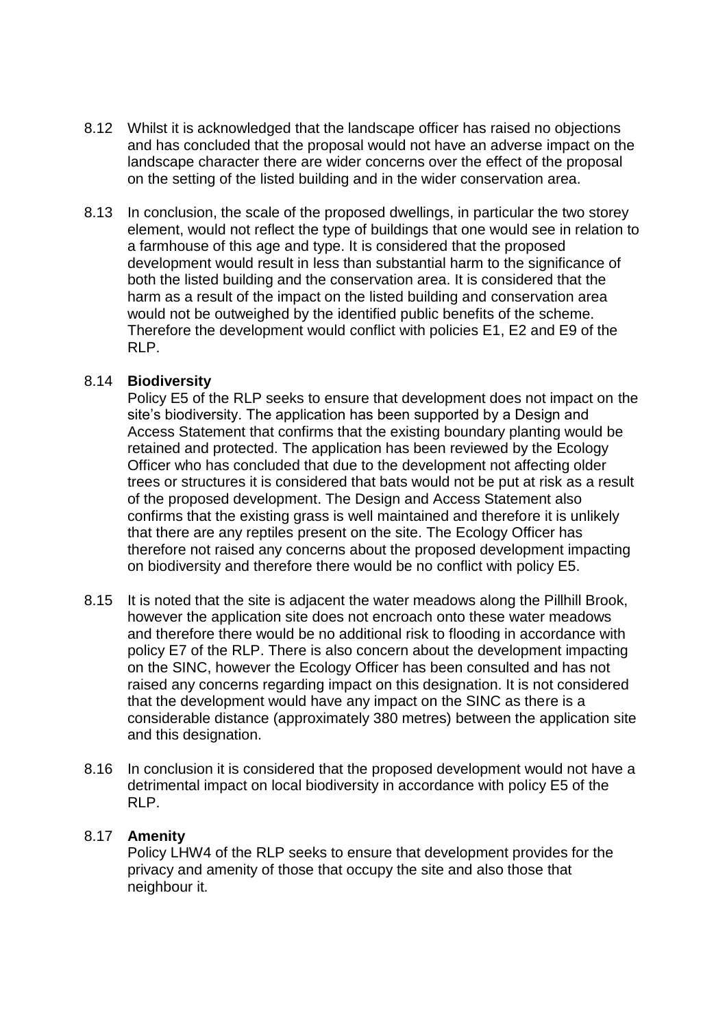- 8.12 Whilst it is acknowledged that the landscape officer has raised no objections and has concluded that the proposal would not have an adverse impact on the landscape character there are wider concerns over the effect of the proposal on the setting of the listed building and in the wider conservation area.
- 8.13 In conclusion, the scale of the proposed dwellings, in particular the two storey element, would not reflect the type of buildings that one would see in relation to a farmhouse of this age and type. It is considered that the proposed development would result in less than substantial harm to the significance of both the listed building and the conservation area. It is considered that the harm as a result of the impact on the listed building and conservation area would not be outweighed by the identified public benefits of the scheme. Therefore the development would conflict with policies E1, E2 and E9 of the RLP.

### 8.14 **Biodiversity**

Policy E5 of the RLP seeks to ensure that development does not impact on the site's biodiversity. The application has been supported by a Design and Access Statement that confirms that the existing boundary planting would be retained and protected. The application has been reviewed by the Ecology Officer who has concluded that due to the development not affecting older trees or structures it is considered that bats would not be put at risk as a result of the proposed development. The Design and Access Statement also confirms that the existing grass is well maintained and therefore it is unlikely that there are any reptiles present on the site. The Ecology Officer has therefore not raised any concerns about the proposed development impacting on biodiversity and therefore there would be no conflict with policy E5.

- 8.15 It is noted that the site is adjacent the water meadows along the Pillhill Brook, however the application site does not encroach onto these water meadows and therefore there would be no additional risk to flooding in accordance with policy E7 of the RLP. There is also concern about the development impacting on the SINC, however the Ecology Officer has been consulted and has not raised any concerns regarding impact on this designation. It is not considered that the development would have any impact on the SINC as there is a considerable distance (approximately 380 metres) between the application site and this designation.
- 8.16 In conclusion it is considered that the proposed development would not have a detrimental impact on local biodiversity in accordance with policy E5 of the RLP.

### 8.17 **Amenity**

Policy LHW4 of the RLP seeks to ensure that development provides for the privacy and amenity of those that occupy the site and also those that neighbour it.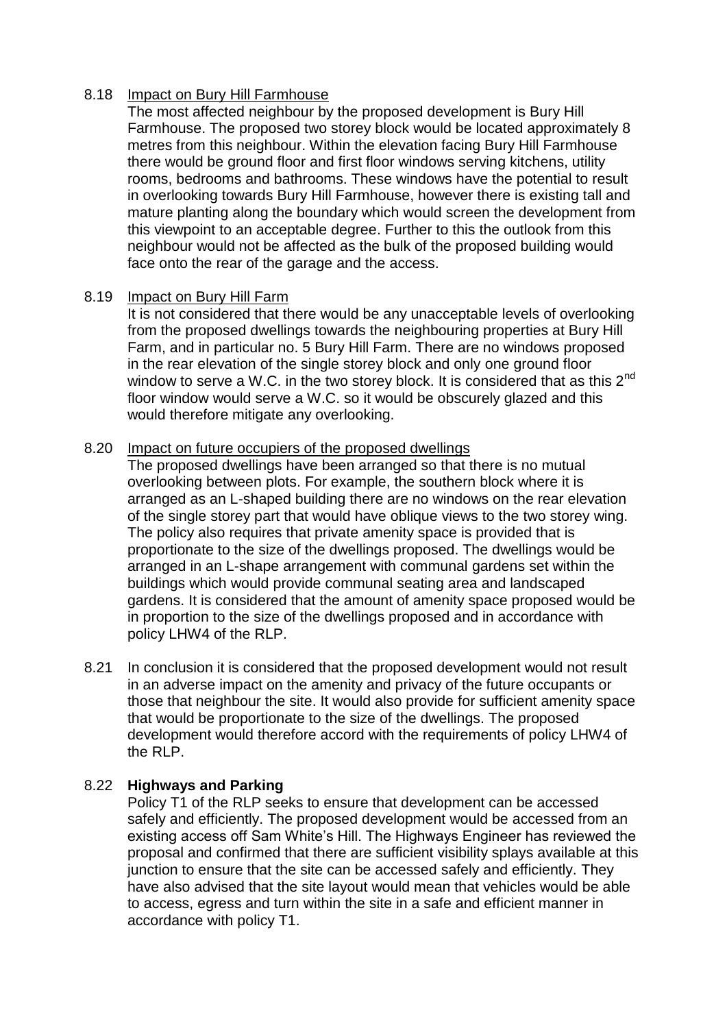### 8.18 Impact on Bury Hill Farmhouse

The most affected neighbour by the proposed development is Bury Hill Farmhouse. The proposed two storey block would be located approximately 8 metres from this neighbour. Within the elevation facing Bury Hill Farmhouse there would be ground floor and first floor windows serving kitchens, utility rooms, bedrooms and bathrooms. These windows have the potential to result in overlooking towards Bury Hill Farmhouse, however there is existing tall and mature planting along the boundary which would screen the development from this viewpoint to an acceptable degree. Further to this the outlook from this neighbour would not be affected as the bulk of the proposed building would face onto the rear of the garage and the access.

## 8.19 Impact on Bury Hill Farm

It is not considered that there would be any unacceptable levels of overlooking from the proposed dwellings towards the neighbouring properties at Bury Hill Farm, and in particular no. 5 Bury Hill Farm. There are no windows proposed in the rear elevation of the single storey block and only one ground floor window to serve a W.C. in the two storey block. It is considered that as this  $2^{nd}$ floor window would serve a W.C. so it would be obscurely glazed and this would therefore mitigate any overlooking.

### 8.20 Impact on future occupiers of the proposed dwellings

The proposed dwellings have been arranged so that there is no mutual overlooking between plots. For example, the southern block where it is arranged as an L-shaped building there are no windows on the rear elevation of the single storey part that would have oblique views to the two storey wing. The policy also requires that private amenity space is provided that is proportionate to the size of the dwellings proposed. The dwellings would be arranged in an L-shape arrangement with communal gardens set within the buildings which would provide communal seating area and landscaped gardens. It is considered that the amount of amenity space proposed would be in proportion to the size of the dwellings proposed and in accordance with policy LHW4 of the RLP.

8.21 In conclusion it is considered that the proposed development would not result in an adverse impact on the amenity and privacy of the future occupants or those that neighbour the site. It would also provide for sufficient amenity space that would be proportionate to the size of the dwellings. The proposed development would therefore accord with the requirements of policy LHW4 of the RLP.

# 8.22 **Highways and Parking**

Policy T1 of the RLP seeks to ensure that development can be accessed safely and efficiently. The proposed development would be accessed from an existing access off Sam White's Hill. The Highways Engineer has reviewed the proposal and confirmed that there are sufficient visibility splays available at this junction to ensure that the site can be accessed safely and efficiently. They have also advised that the site layout would mean that vehicles would be able to access, egress and turn within the site in a safe and efficient manner in accordance with policy T1.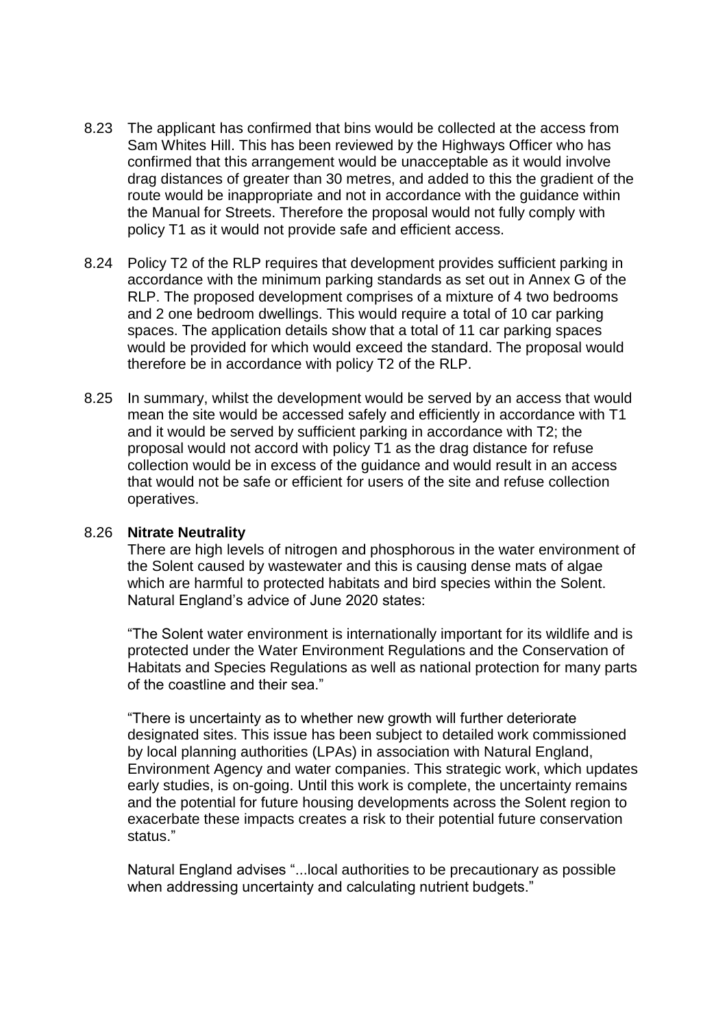- 8.23 The applicant has confirmed that bins would be collected at the access from Sam Whites Hill. This has been reviewed by the Highways Officer who has confirmed that this arrangement would be unacceptable as it would involve drag distances of greater than 30 metres, and added to this the gradient of the route would be inappropriate and not in accordance with the guidance within the Manual for Streets. Therefore the proposal would not fully comply with policy T1 as it would not provide safe and efficient access.
- 8.24 Policy T2 of the RLP requires that development provides sufficient parking in accordance with the minimum parking standards as set out in Annex G of the RLP. The proposed development comprises of a mixture of 4 two bedrooms and 2 one bedroom dwellings. This would require a total of 10 car parking spaces. The application details show that a total of 11 car parking spaces would be provided for which would exceed the standard. The proposal would therefore be in accordance with policy T2 of the RLP.
- 8.25 In summary, whilst the development would be served by an access that would mean the site would be accessed safely and efficiently in accordance with T1 and it would be served by sufficient parking in accordance with T2; the proposal would not accord with policy T1 as the drag distance for refuse collection would be in excess of the guidance and would result in an access that would not be safe or efficient for users of the site and refuse collection operatives.

### 8.26 **Nitrate Neutrality**

There are high levels of nitrogen and phosphorous in the water environment of the Solent caused by wastewater and this is causing dense mats of algae which are harmful to protected habitats and bird species within the Solent. Natural England's advice of June 2020 states:

"The Solent water environment is internationally important for its wildlife and is protected under the Water Environment Regulations and the Conservation of Habitats and Species Regulations as well as national protection for many parts of the coastline and their sea."

"There is uncertainty as to whether new growth will further deteriorate designated sites. This issue has been subject to detailed work commissioned by local planning authorities (LPAs) in association with Natural England, Environment Agency and water companies. This strategic work, which updates early studies, is on-going. Until this work is complete, the uncertainty remains and the potential for future housing developments across the Solent region to exacerbate these impacts creates a risk to their potential future conservation status."

Natural England advises "...local authorities to be precautionary as possible when addressing uncertainty and calculating nutrient budgets."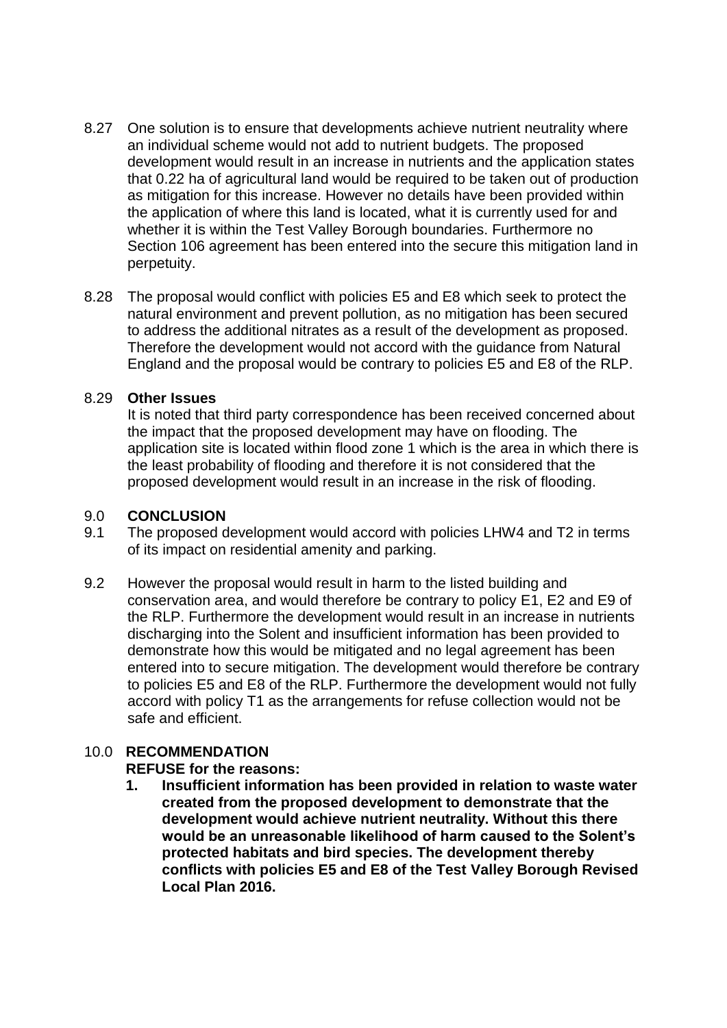- 8.27 One solution is to ensure that developments achieve nutrient neutrality where an individual scheme would not add to nutrient budgets. The proposed development would result in an increase in nutrients and the application states that 0.22 ha of agricultural land would be required to be taken out of production as mitigation for this increase. However no details have been provided within the application of where this land is located, what it is currently used for and whether it is within the Test Valley Borough boundaries. Furthermore no Section 106 agreement has been entered into the secure this mitigation land in perpetuity.
- 8.28 The proposal would conflict with policies E5 and E8 which seek to protect the natural environment and prevent pollution, as no mitigation has been secured to address the additional nitrates as a result of the development as proposed. Therefore the development would not accord with the guidance from Natural England and the proposal would be contrary to policies E5 and E8 of the RLP.

### 8.29 **Other Issues**

It is noted that third party correspondence has been received concerned about the impact that the proposed development may have on flooding. The application site is located within flood zone 1 which is the area in which there is the least probability of flooding and therefore it is not considered that the proposed development would result in an increase in the risk of flooding.

### 9.0 **CONCLUSION**

- 9.1 The proposed development would accord with policies LHW4 and T2 in terms of its impact on residential amenity and parking.
- 9.2 However the proposal would result in harm to the listed building and conservation area, and would therefore be contrary to policy E1, E2 and E9 of the RLP. Furthermore the development would result in an increase in nutrients discharging into the Solent and insufficient information has been provided to demonstrate how this would be mitigated and no legal agreement has been entered into to secure mitigation. The development would therefore be contrary to policies E5 and E8 of the RLP. Furthermore the development would not fully accord with policy T1 as the arrangements for refuse collection would not be safe and efficient.

### 10.0 **RECOMMENDATION**

### **REFUSE for the reasons:**

**1. Insufficient information has been provided in relation to waste water created from the proposed development to demonstrate that the development would achieve nutrient neutrality. Without this there would be an unreasonable likelihood of harm caused to the Solent's protected habitats and bird species. The development thereby conflicts with policies E5 and E8 of the Test Valley Borough Revised Local Plan 2016.**